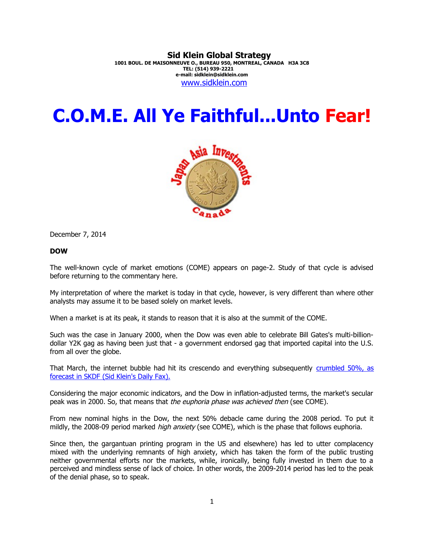# **Sid Klein Global Strategy**

**1001 BOUL. DE MAISONNEUVE O., BUREAU 950, MONTREAL, CANADA H3A 3C8 TEL: (514) 939-2221 e-mail: sidklein@sidklein.com** [www.sidklein.com](http://www.sidklein.com/)

# **C.O.M.E. All Ye Faithful...Unto Fear!**



December 7, 2014

# **DOW**

The well-known cycle of market emotions (COME) appears on page-2. Study of that cycle is advised before returning to the commentary here.

My interpretation of where the market is today in that cycle, however, is very different than where other analysts may assume it to be based solely on market levels.

When a market is at its peak, it stands to reason that it is also at the summit of the COME.

Such was the case in January 2000, when the Dow was even able to celebrate Bill Gates's multi-billiondollar Y2K gag as having been just that - a government endorsed gag that imported capital into the U.S. from all over the globe.

That March, the internet bubble had hit its crescendo and everything subsequently [crumbled 50%, as](http://www.sidklein.com/NewComments/Dow%202000%20Peak.pdf) [forecast in SKDF \(Sid Klein's Daily Fax\).](http://www.sidklein.com/NewComments/Dow%202000%20Peak.pdf)

Considering the major economic indicators, and the Dow in inflation-adjusted terms, the market's secular peak was in 2000. So, that means that the euphoria phase was achieved then (see COME).

From new nominal highs in the Dow, the next 50% debacle came during the 2008 period. To put it mildly, the 2008-09 period marked *high anxiety* (see COME), which is the phase that follows euphoria.

Since then, the gargantuan printing program in the US and elsewhere) has led to utter complacency mixed with the underlying remnants of high anxiety, which has taken the form of the public trusting neither governmental efforts nor the markets, while, ironically, being fully invested in them due to a perceived and mindless sense of lack of choice. In other words, the 2009-2014 period has led to the peak of the denial phase, so to speak.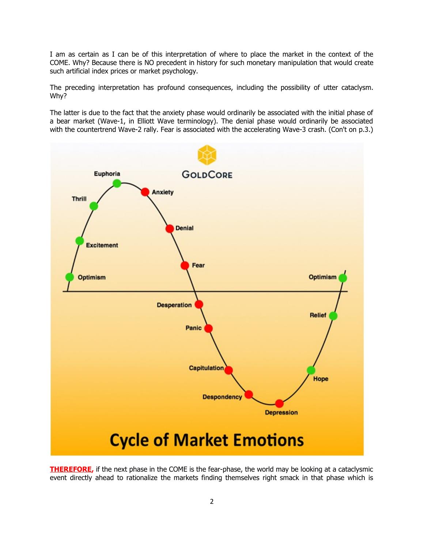I am as certain as I can be of this interpretation of where to place the market in the context of the COME. Why? Because there is NO precedent in history for such monetary manipulation that would create such artificial index prices or market psychology.

The preceding interpretation has profound consequences, including the possibility of utter cataclysm. Why?

The latter is due to the fact that the anxiety phase would ordinarily be associated with the initial phase of a bear market (Wave-1, in Elliott Wave terminology). The denial phase would ordinarily be associated with the countertrend Wave-2 rally. Fear is associated with the accelerating Wave-3 crash. (Con't on p.3.)



**THEREFORE,** if the next phase in the COME is the fear-phase, the world may be looking at a cataclysmic event directly ahead to rationalize the markets finding themselves right smack in that phase which is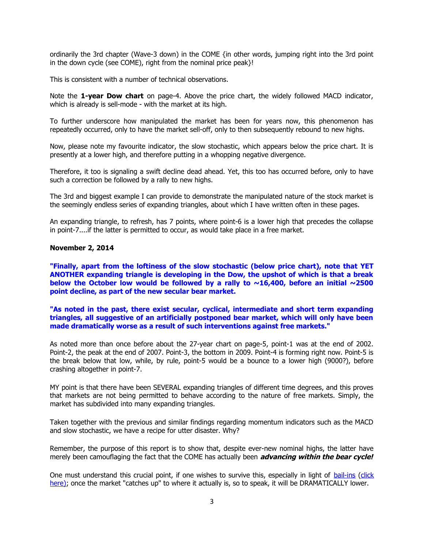ordinarily the 3rd chapter (Wave-3 down) in the COME {in other words, jumping right into the 3rd point in the down cycle (see COME), right from the nominal price peak}!

This is consistent with a number of technical observations.

Note the **1-year Dow chart** on page-4. Above the price chart, the widely followed MACD indicator, which is already is sell-mode - with the market at its high.

To further underscore how manipulated the market has been for years now, this phenomenon has repeatedly occurred, only to have the market sell-off, only to then subsequently rebound to new highs.

Now, please note my favourite indicator, the slow stochastic, which appears below the price chart. It is presently at a lower high, and therefore putting in a whopping negative divergence.

Therefore, it too is signaling a swift decline dead ahead. Yet, this too has occurred before, only to have such a correction be followed by a rally to new highs.

The 3rd and biggest example I can provide to demonstrate the manipulated nature of the stock market is the seemingly endless series of expanding triangles, about which I have written often in these pages.

An expanding triangle, to refresh, has 7 points, where point-6 is a lower high that precedes the collapse in point-7....if the latter is permitted to occur, as would take place in a free market.

#### **November 2, 2014**

**"Finally, apart from the loftiness of the slow stochastic (below price chart), note that YET ANOTHER expanding triangle is developing in the Dow, the upshot of which is that a break below the October low would be followed by a rally to**  $\sim$ **16,400, before an initial**  $\sim$ **2500 point decline, as part of the new secular bear market.** 

**"As noted in the past, there exist secular, cyclical, intermediate and short term expanding triangles, all suggestive of an artificially postponed bear market, which will only have been made dramatically worse as a result of such interventions against free markets."**

As noted more than once before about the 27-year chart on page-5, point-1 was at the end of 2002. Point-2, the peak at the end of 2007. Point-3, the bottom in 2009. Point-4 is forming right now. Point-5 is the break below that low, while, by rule, point-5 would be a bounce to a lower high (9000?), before crashing altogether in point-7.

MY point is that there have been SEVERAL expanding triangles of different time degrees, and this proves that markets are not being permitted to behave according to the nature of free markets. Simply, the market has subdivided into many expanding triangles.

Taken together with the previous and similar findings regarding momentum indicators such as the MACD and slow stochastic, we have a recipe for utter disaster. Why?

Remember, the purpose of this report is to show that, despite ever-new nominal highs, the latter have merely been camouflaging the fact that the COME has actually been **advancing within the bear cycle!**

One must understand this crucial point, if one wishes to survive this, especially in light of [bail-ins \(click](http://www.goldcore.com/How_Likely_Are_Bail_Ins_Bank_of_England_Says_U_S_Could_Do_Today?hsCtaTracking=3c328430-b210-4414-8d34-269f5c9e2840%7Ccca20823-0841-44c2-ae07-4cda0ae7be87&utm_campaign=daily-market-update-2013&_hsenc=p2ANqtz-97cJW9RaMkbrd7itM695PHpqy) [here\);](http://www.goldcore.com/How_Likely_Are_Bail_Ins_Bank_of_England_Says_U_S_Could_Do_Today?hsCtaTracking=3c328430-b210-4414-8d34-269f5c9e2840%7Ccca20823-0841-44c2-ae07-4cda0ae7be87&utm_campaign=daily-market-update-2013&_hsenc=p2ANqtz-97cJW9RaMkbrd7itM695PHpqy) once the market "catches up" to where it actually is, so to speak, it will be DRAMATICALLY lower.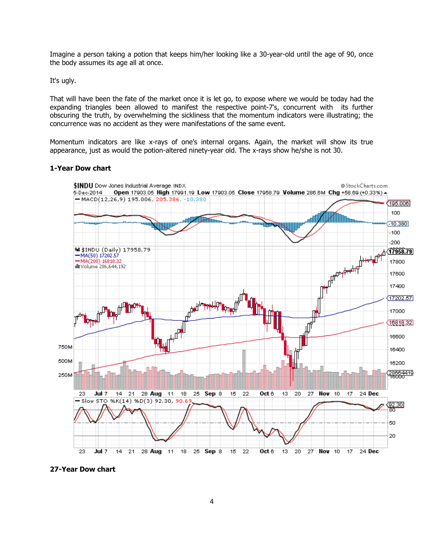Imagine a person taking a potion that keeps him/her looking like a 30-year-old until the age of 90, once the body assumes its age all at once.

It's ugly.

That will have been the fate of the market once it is let go, to expose where we would be today had the expanding triangles been allowed to manifest the respective point-7's, concurrent with its further obscuring the truth, by overwhelming the sickliness that the momentum indicators were illustrating; the concurrence was no accident as they were manifestations of the same event.

Momentum indicators are like x-rays of one's internal organs. Again, the market will show its true appearance, just as would the potion-altered ninety-year old. The x-rays show he/she is not 30.

#### **1-Year Dow chart**



**27-Year Dow chart**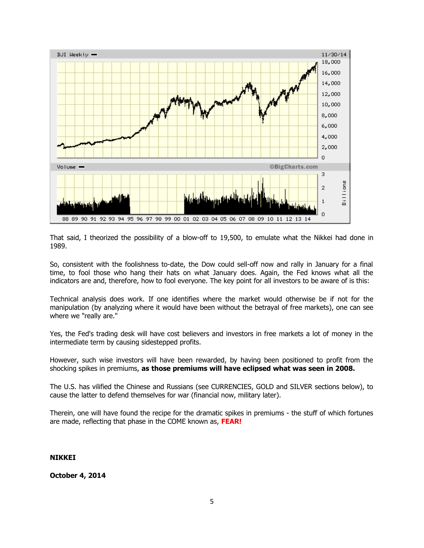

That said, I theorized the possibility of a blow-off to 19,500, to emulate what the Nikkei had done in 1989.

So, consistent with the foolishness to-date, the Dow could sell-off now and rally in January for a final time, to fool those who hang their hats on what January does. Again, the Fed knows what all the indicators are and, therefore, how to fool everyone. The key point for all investors to be aware of is this:

Technical analysis does work. If one identifies where the market would otherwise be if not for the manipulation (by analyzing where it would have been without the betrayal of free markets), one can see where we "really are."

Yes, the Fed's trading desk will have cost believers and investors in free markets a lot of money in the intermediate term by causing sidestepped profits.

However, such wise investors will have been rewarded, by having been positioned to profit from the shocking spikes in premiums, **as those premiums will have eclipsed what was seen in 2008.**

The U.S. has vilified the Chinese and Russians (see CURRENCIES, GOLD and SILVER sections below), to cause the latter to defend themselves for war (financial now, military later).

Therein, one will have found the recipe for the dramatic spikes in premiums - the stuff of which fortunes are made, reflecting that phase in the COME known as, **FEAR!** 

# **NIKKEI**

**October 4, 2014**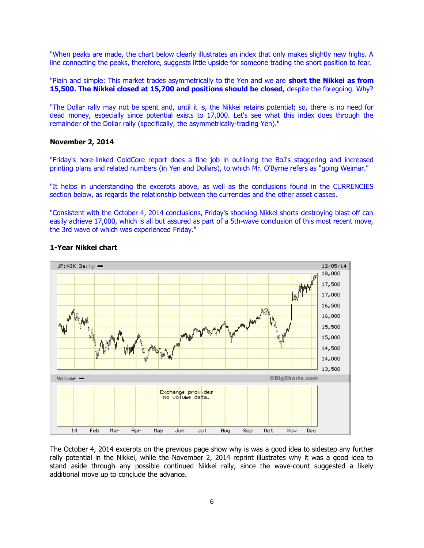"When peaks are made, the chart below clearly illustrates an index that only makes slightly new highs. A line connecting the peaks, therefore, suggests little upside for someone trading the short position to fear.

"Plain and simple: This market trades asymmetrically to the Yen and we are **short the Nikkei as from 15,500. The Nikkei closed at 15,700 and positions should be closed,** despite the foregoing. Why?

"The Dollar rally may not be spent and, until it is, the Nikkei retains potential; so, there is no need for dead money, especially since potential exists to 17,000. Let's see what this index does through the remainder of the Dollar rally (specifically, the asymmetrically-trading Yen)."

#### **November 2, 2014**

"Friday's here-linked [GoldCore report](http://www.goldcore.com/goldcore_blog/Gold_Falls_Stocks_Record_Highs_as_Japan_Goes_Weimar_Here_Be_Dragons?hsCtaTracking=4bf5cfb1-f151-4d6a-9328-af062938a1a0%7C724b612f-6fb7-4ff4-b96e-3dcc4d64fce5&utm_campaign=Weekly%20Market%20Update%202013&_hsenc=p2ANqtz-) does a fine job in outlining the BoJ's staggering and increased printing plans and related numbers (in Yen and Dollars), to which Mr. O'Byrne refers as "going Weimar."

"It helps in understanding the excerpts above, as well as the conclusions found in the CURRENCIES section below, as regards the relationship between the currencies and the other asset classes.

"Consistent with the October 4, 2014 conclusions, Friday's shocking Nikkei shorts-destroying blast-off can easily achieve 17,000, which is all but assured as part of a 5th-wave conclusion of this most recent move, the 3rd wave of which was experienced Friday."



#### **1-Year Nikkei chart**

The October 4, 2014 excerpts on the previous page show why is was a good idea to sidestep any further rally potential in the Nikkei, while the November 2, 2014 reprint illustrates why it was a good idea to stand aside through any possible continued Nikkei rally, since the wave-count suggested a likely additional move up to conclude the advance.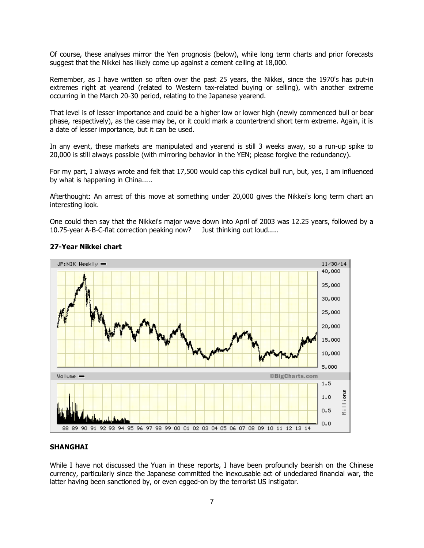Of course, these analyses mirror the Yen prognosis (below), while long term charts and prior forecasts suggest that the Nikkei has likely come up against a cement ceiling at 18,000.

Remember, as I have written so often over the past 25 years, the Nikkei, since the 1970's has put-in extremes right at yearend (related to Western tax-related buying or selling), with another extreme occurring in the March 20-30 period, relating to the Japanese yearend.

That level is of lesser importance and could be a higher low or lower high (newly commenced bull or bear phase, respectively), as the case may be, or it could mark a countertrend short term extreme. Again, it is a date of lesser importance, but it can be used.

In any event, these markets are manipulated and yearend is still 3 weeks away, so a run-up spike to 20,000 is still always possible (with mirroring behavior in the YEN; please forgive the redundancy).

For my part, I always wrote and felt that 17,500 would cap this cyclical bull run, but, yes, I am influenced by what is happening in China.....

Afterthought: An arrest of this move at something under 20,000 gives the Nikkei's long term chart an interesting look.

One could then say that the Nikkei's major wave down into April of 2003 was 12.25 years, followed by a 10.75-year A-B-C-flat correction peaking now? Just thinking out loud.....



# **27-Year Nikkei chart**

#### **SHANGHAI**

While I have not discussed the Yuan in these reports, I have been profoundly bearish on the Chinese currency, particularly since the Japanese committed the inexcusable act of undeclared financial war, the latter having been sanctioned by, or even egged-on by the terrorist US instigator.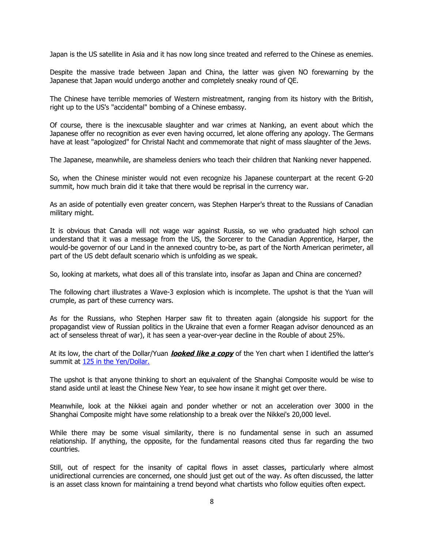Japan is the US satellite in Asia and it has now long since treated and referred to the Chinese as enemies.

Despite the massive trade between Japan and China, the latter was given NO forewarning by the Japanese that Japan would undergo another and completely sneaky round of QE.

The Chinese have terrible memories of Western mistreatment, ranging from its history with the British, right up to the US's "accidental" bombing of a Chinese embassy.

Of course, there is the inexcusable slaughter and war crimes at Nanking, an event about which the Japanese offer no recognition as ever even having occurred, let alone offering any apology. The Germans have at least "apologized" for Christal Nacht and commemorate that night of mass slaughter of the Jews.

The Japanese, meanwhile, are shameless deniers who teach their children that Nanking never happened.

So, when the Chinese minister would not even recognize his Japanese counterpart at the recent G-20 summit, how much brain did it take that there would be reprisal in the currency war.

As an aside of potentially even greater concern, was Stephen Harper's threat to the Russians of Canadian military might.

It is obvious that Canada will not wage war against Russia, so we who graduated high school can understand that it was a message from the US, the Sorcerer to the Canadian Apprentice, Harper, the would-be governor of our Land in the annexed country to-be, as part of the North American perimeter, all part of the US debt default scenario which is unfolding as we speak.

So, looking at markets, what does all of this translate into, insofar as Japan and China are concerned?

The following chart illustrates a Wave-3 explosion which is incomplete. The upshot is that the Yuan will crumple, as part of these currency wars.

As for the Russians, who Stephen Harper saw fit to threaten again (alongside his support for the propagandist view of Russian politics in the Ukraine that even a former Reagan advisor denounced as an act of senseless threat of war), it has seen a year-over-year decline in the Rouble of about 25%.

At its low, the chart of the Dollar/Yuan **looked like a copy** of the Yen chart when I identified the latter's summit at [125 in the Yen/Dollar.](http://www.sidklein.com/NewComments/1-10-2011%20Yen%20FXY.pdf)

The upshot is that anyone thinking to short an equivalent of the Shanghai Composite would be wise to stand aside until at least the Chinese New Year, to see how insane it might get over there.

Meanwhile, look at the Nikkei again and ponder whether or not an acceleration over 3000 in the Shanghai Composite might have some relationship to a break over the Nikkei's 20,000 level.

While there may be some visual similarity, there is no fundamental sense in such an assumed relationship. If anything, the opposite, for the fundamental reasons cited thus far regarding the two countries.

Still, out of respect for the insanity of capital flows in asset classes, particularly where almost unidirectional currencies are concerned, one should just get out of the way. As often discussed, the latter is an asset class known for maintaining a trend beyond what chartists who follow equities often expect.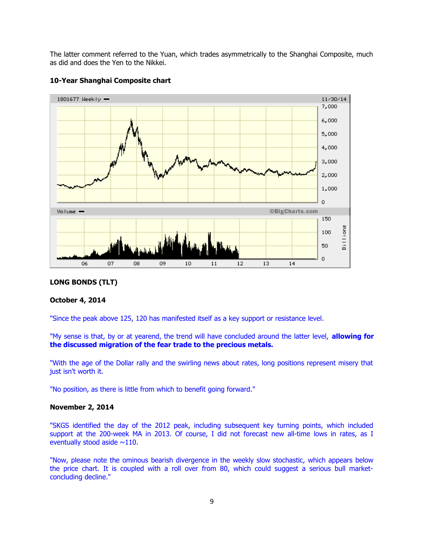The latter comment referred to the Yuan, which trades asymmetrically to the Shanghai Composite, much as did and does the Yen to the Nikkei.



# **10-Year Shanghai Composite chart**

#### **LONG BONDS (TLT)**

#### **October 4, 2014**

"Since the peak above 125, 120 has manifested itself as a key support or resistance level.

"My sense is that, by or at yearend, the trend will have concluded around the latter level, **allowing for the discussed migration of the fear trade to the precious metals.** 

"With the age of the Dollar rally and the swirling news about rates, long positions represent misery that just isn't worth it.

"No position, as there is little from which to benefit going forward."

#### **November 2, 2014**

"SKGS identified the day of the 2012 peak, including subsequent key turning points, which included support at the 200-week MA in 2013. Of course, I did not forecast new all-time lows in rates, as I eventually stood aside  $\sim$ 110.

"Now, please note the ominous bearish divergence in the weekly slow stochastic, which appears below the price chart. It is coupled with a roll over from 80, which could suggest a serious bull marketconcluding decline."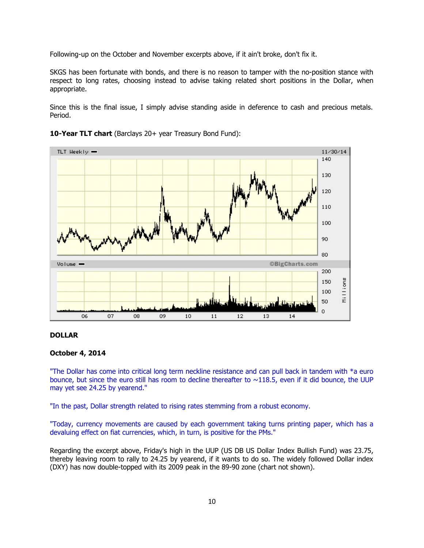Following-up on the October and November excerpts above, if it ain't broke, don't fix it.

SKGS has been fortunate with bonds, and there is no reason to tamper with the no-position stance with respect to long rates, choosing instead to advise taking related short positions in the Dollar, when appropriate.

Since this is the final issue, I simply advise standing aside in deference to cash and precious metals. Period.



**10-Year TLT chart** (Barclays 20+ year Treasury Bond Fund):

### **DOLLAR**

#### **October 4, 2014**

"The Dollar has come into critical long term neckline resistance and can pull back in tandem with \*a euro bounce, but since the euro still has room to decline thereafter to  $\sim$ 118.5, even if it did bounce, the UUP may yet see 24.25 by yearend."

"In the past, Dollar strength related to rising rates stemming from a robust economy.

"Today, currency movements are caused by each government taking turns printing paper, which has a devaluing effect on fiat currencies, which, in turn, is positive for the PMs."

Regarding the excerpt above, Friday's high in the UUP (US DB US Dollar Index Bullish Fund) was 23.75, thereby leaving room to rally to 24.25 by yearend, if it wants to do so. The widely followed Dollar index (DXY) has now double-topped with its 2009 peak in the 89-90 zone (chart not shown).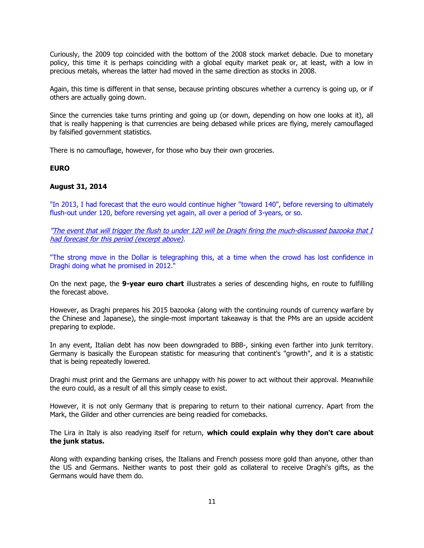Curiously, the 2009 top coincided with the bottom of the 2008 stock market debacle. Due to monetary policy, this time it is perhaps coinciding with a global equity market peak or, at least, with a low in precious metals, whereas the latter had moved in the same direction as stocks in 2008.

Again, this time is different in that sense, because printing obscures whether a currency is going up, or if others are actually going down.

Since the currencies take turns printing and going up (or down, depending on how one looks at it), all that is really happening is that currencies are being debased while prices are flying, merely camouflaged by falsified government statistics.

There is no camouflage, however, for those who buy their own groceries.

#### **EURO**

#### **August 31, 2014**

"In 2013, I had forecast that the euro would continue higher "toward 140", before reversing to ultimately flush-out under 120, before reversing yet again, all over a period of 3-years, or so.

"The event that will trigger the flush to under 120 will be Draghi firing the much-discussed bazooka that I had forecast for this period (excerpt above).

"The strong move in the Dollar is telegraphing this, at a time when the crowd has lost confidence in Draghi doing what he promised in 2012."

On the next page, the **9-year euro chart** illustrates a series of descending highs, en route to fulfilling the forecast above.

However, as Draghi prepares his 2015 bazooka (along with the continuing rounds of currency warfare by the Chinese and Japanese), the single-most important takeaway is that the PMs are an upside accident preparing to explode.

In any event, Italian debt has now been downgraded to BBB-, sinking even farther into junk territory. Germany is basically the European statistic for measuring that continent's "growth", and it is a statistic that is being repeatedly lowered.

Draghi must print and the Germans are unhappy with his power to act without their approval. Meanwhile the euro could, as a result of all this simply cease to exist.

However, it is not only Germany that is preparing to return to their national currency. Apart from the Mark, the Gilder and other currencies are being readied for comebacks.

The Lira in Italy is also readying itself for return, **which could explain why they don't care about the junk status.**

Along with expanding banking crises, the Italians and French possess more gold than anyone, other than the US and Germans. Neither wants to post their gold as collateral to receive Draghi's gifts, as the Germans would have them do.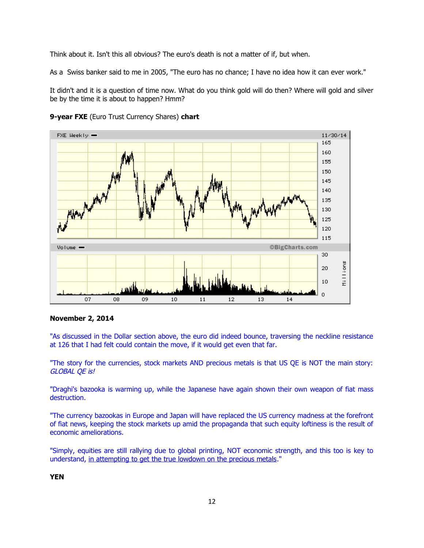Think about it. Isn't this all obvious? The euro's death is not a matter of if, but when.

As a Swiss banker said to me in 2005, "The euro has no chance; I have no idea how it can ever work."

It didn't and it is a question of time now. What do you think gold will do then? Where will gold and silver be by the time it is about to happen? Hmm?



**9-year FXE** (Euro Trust Currency Shares) **chart**

# **November 2, 2014**

"As discussed in the Dollar section above, the euro did indeed bounce, traversing the neckline resistance at 126 that I had felt could contain the move, if it would get even that far.

"The story for the currencies, stock markets AND precious metals is that US QE is NOT the main story: GLOBAL QE is!

"Draghi's bazooka is warming up, while the Japanese have again shown their own weapon of fiat mass destruction.

"The currency bazookas in Europe and Japan will have replaced the US currency madness at the forefront of fiat news, keeping the stock markets up amid the propaganda that such equity loftiness is the result of economic ameliorations.

"Simply, equities are still rallying due to global printing, NOT economic strength, and this too is key to understand, in attempting to get the true lowdown on the precious metals."

# **YEN**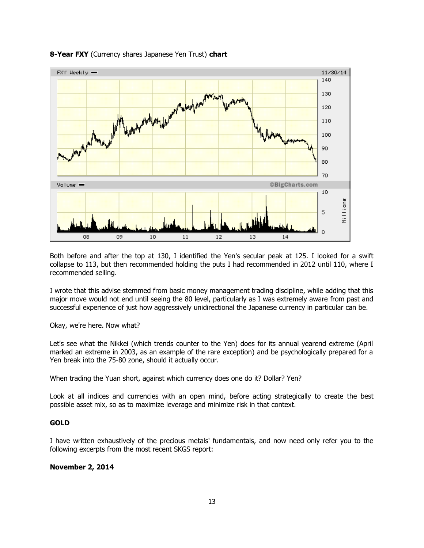

#### **8-Year FXY** (Currency shares Japanese Yen Trust) **chart**

Both before and after the top at 130, I identified the Yen's secular peak at 125. I looked for a swift collapse to 113, but then recommended holding the puts I had recommended in 2012 until 110, where I recommended selling.

I wrote that this advise stemmed from basic money management trading discipline, while adding that this major move would not end until seeing the 80 level, particularly as I was extremely aware from past and successful experience of just how aggressively unidirectional the Japanese currency in particular can be.

Okay, we're here. Now what?

Let's see what the Nikkei (which trends counter to the Yen) does for its annual yearend extreme (April marked an extreme in 2003, as an example of the rare exception) and be psychologically prepared for a Yen break into the 75-80 zone, should it actually occur.

When trading the Yuan short, against which currency does one do it? Dollar? Yen?

Look at all indices and currencies with an open mind, before acting strategically to create the best possible asset mix, so as to maximize leverage and minimize risk in that context.

#### **GOLD**

I have written exhaustively of the precious metals' fundamentals, and now need only refer you to the following excerpts from the most recent SKGS report:

#### **November 2, 2014**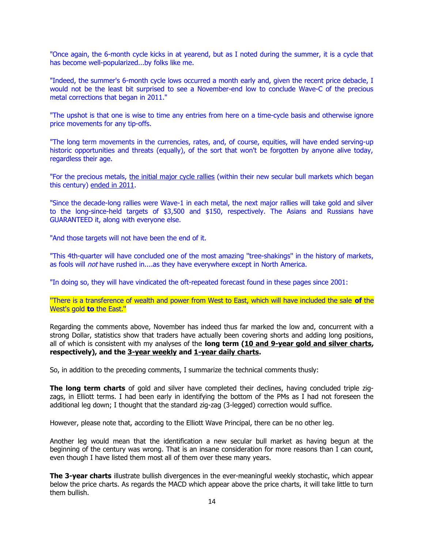"Once again, the 6-month cycle kicks in at yearend, but as I noted during the summer, it is a cycle that has become well-popularized...by folks like me.

"Indeed, the summer's 6-month cycle lows occurred a month early and, given the recent price debacle, I would not be the least bit surprised to see a November-end low to conclude Wave-C of the precious metal corrections that began in 2011."

"The upshot is that one is wise to time any entries from here on a time-cycle basis and otherwise ignore price movements for any tip-offs.

"The long term movements in the currencies, rates, and, of course, equities, will have ended serving-up historic opportunities and threats (equally), of the sort that won't be forgotten by anyone alive today, regardless their age.

"For the precious metals, the initial major cycle rallies (within their new secular bull markets which began this century) ended in 2011.

"Since the decade-long rallies were Wave-1 in each metal, the next major rallies will take gold and silver to the long-since-held targets of \$3,500 and \$150, respectively. The Asians and Russians have GUARANTEED it, along with everyone else.

"And those targets will not have been the end of it.

"This 4th-quarter will have concluded one of the most amazing ''tree-shakings'' in the history of markets, as fools will *not* have rushed in....as they have everywhere except in North America.

"In doing so, they will have vindicated the oft-repeated forecast found in these pages since 2001:

''There is a transference of wealth and power from West to East, which will have included the sale **of** the West's gold **to** the East.''

Regarding the comments above, November has indeed thus far marked the low and, concurrent with a strong Dollar, statistics show that traders have actually been covering shorts and adding long positions, all of which is consistent with my analyses of the **long term (10 and 9-year gold and silver charts, respectively), and the 3-year weekly and 1-year daily charts.** 

So, in addition to the preceding comments, I summarize the technical comments thusly:

**The long term charts** of gold and silver have completed their declines, having concluded triple zigzags, in Elliott terms. I had been early in identifying the bottom of the PMs as I had not foreseen the additional leg down; I thought that the standard zig-zag (3-legged) correction would suffice.

However, please note that, according to the Elliott Wave Principal, there can be no other leg.

Another leg would mean that the identification a new secular bull market as having begun at the beginning of the century was wrong. That is an insane consideration for more reasons than I can count, even though I have listed them most all of them over these many years.

**The 3-year charts** illustrate bullish divergences in the ever-meaningful weekly stochastic, which appear below the price charts. As regards the MACD which appear above the price charts, it will take little to turn them bullish.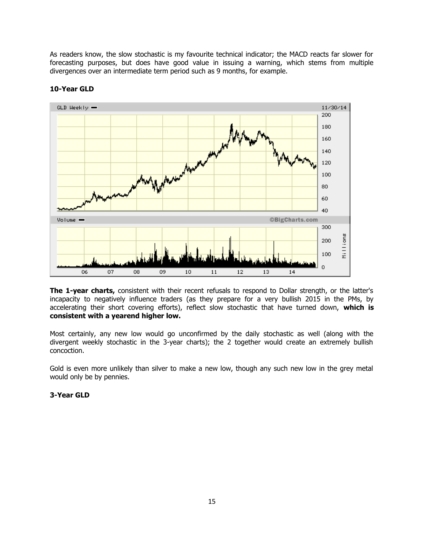As readers know, the slow stochastic is my favourite technical indicator; the MACD reacts far slower for forecasting purposes, but does have good value in issuing a warning, which stems from multiple divergences over an intermediate term period such as 9 months, for example.



# **10-Year GLD**

**The 1-year charts,** consistent with their recent refusals to respond to Dollar strength, or the latter's incapacity to negatively influence traders (as they prepare for a very bullish 2015 in the PMs, by accelerating their short covering efforts), reflect slow stochastic that have turned down, **which is consistent with a yearend higher low.** 

Most certainly, any new low would go unconfirmed by the daily stochastic as well (along with the divergent weekly stochastic in the 3-year charts); the 2 together would create an extremely bullish concoction.

Gold is even more unlikely than silver to make a new low, though any such new low in the grey metal would only be by pennies.

# **3-Year GLD**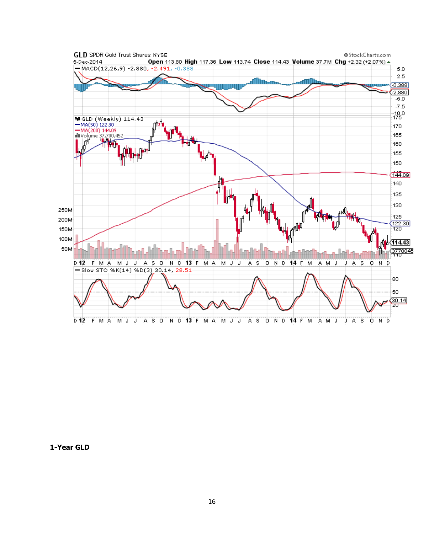

**1-Year GLD**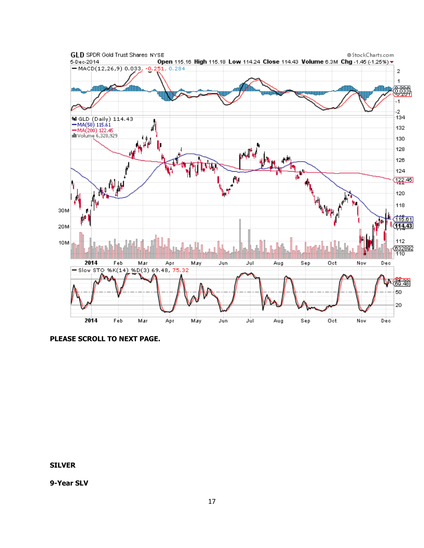

**PLEASE SCROLL TO NEXT PAGE.**

**SILVER**

**9-Year SLV**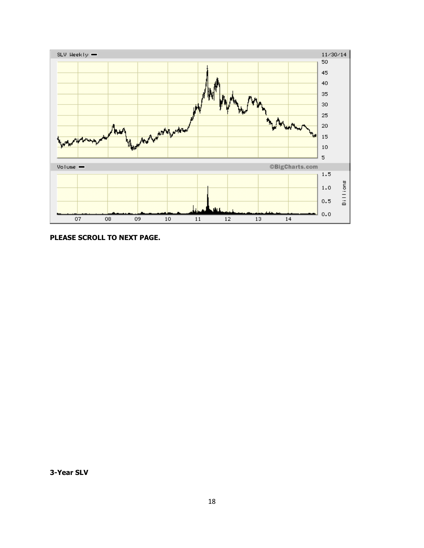

**PLEASE SCROLL TO NEXT PAGE.**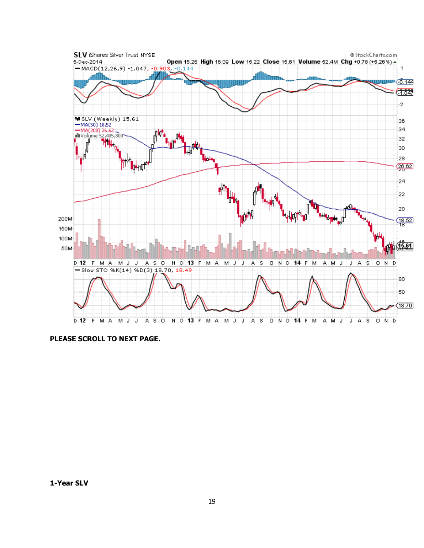

**PLEASE SCROLL TO NEXT PAGE.**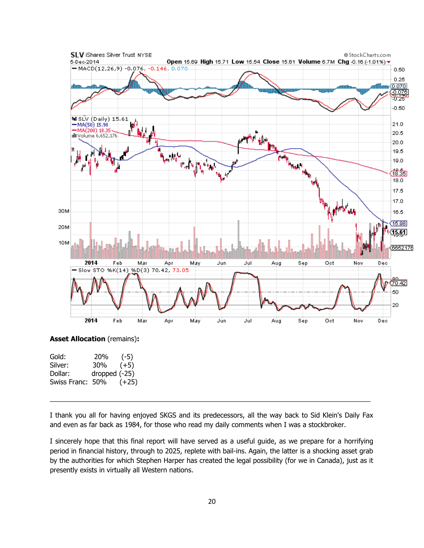

|                  | $\cdot$ $\sim$ $\cdot$ |
|------------------|------------------------|
| 30%              | $(+5)$                 |
| dropped $(-25)$  |                        |
| Swiss Franc: 50% | $(+25)$                |
|                  | ---                    |

I thank you all for having enjoyed SKGS and its predecessors, all the way back to Sid Klein's Daily Fax and even as far back as 1984, for those who read my daily comments when I was a stockbroker.

 $\_$  , and the state of the state of the state of the state of the state of the state of the state of the state of the state of the state of the state of the state of the state of the state of the state of the state of the

I sincerely hope that this final report will have served as a useful guide, as we prepare for a horrifying period in financial history, through to 2025, replete with bail-ins. Again, the latter is a shocking asset grab by the authorities for which Stephen Harper has created the legal possibility (for we in Canada), just as it presently exists in virtually all Western nations.